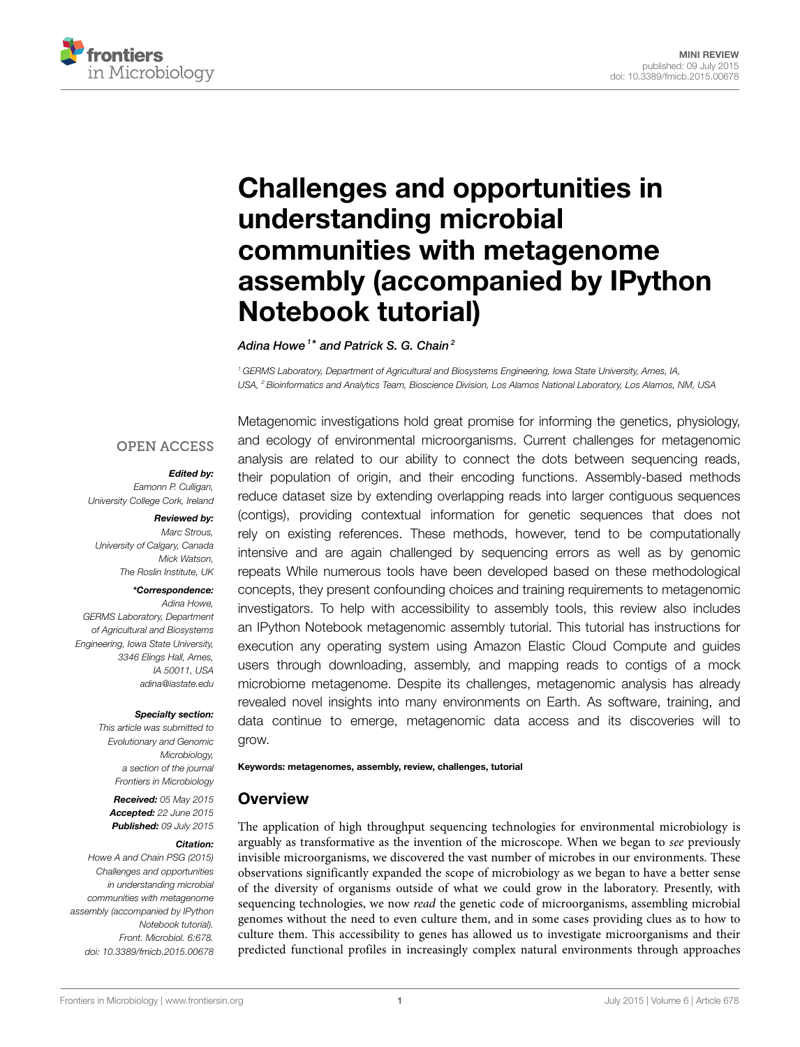

# **[Challenges and opportunities in](http://journal.frontiersin.org/article/10.3389/fmicb.2015.00678/abstract) [understanding microbial](http://journal.frontiersin.org/article/10.3389/fmicb.2015.00678/abstract) [communities with metagenome](http://journal.frontiersin.org/article/10.3389/fmicb.2015.00678/abstract) [assembly \(accompanied by IPython](http://journal.frontiersin.org/article/10.3389/fmicb.2015.00678/abstract) [Notebook tutorial\)](http://journal.frontiersin.org/article/10.3389/fmicb.2015.00678/abstract)**

*[Adina Howe](http://loop.frontiersin.org/people/149469) <sup>1</sup> \* and [Patrick S. G. Chain](http://loop.frontiersin.org/people/18535) <sup>2</sup>*

*<sup>1</sup> GERMS Laboratory, Department of Agricultural and Biosystems Engineering, Iowa State University, Ames, IA, USA, <sup>2</sup> Bioinformatics and Analytics Team, Bioscience Division, Los Alamos National Laboratory, Los Alamos, NM, USA*

## **OPEN ACCESS**

#### *Edited by:*

*Eamonn P. Culligan, University College Cork, Ireland*

#### *Reviewed by:*

*Marc Strous, University of Calgary, Canada Mick Watson, The Roslin Institute, UK*

#### *\*Correspondence:*

*Adina Howe, GERMS Laboratory, Department of Agricultural and Biosystems Engineering, Iowa State University, 3346 Elings Hall, Ames, IA 50011, USA [adina@iastate.edu](mailto:adina@iastate.edu)*

#### *Specialty section:*

*This article was submitted to Evolutionary and Genomic Microbiology, a section of the journal Frontiers in Microbiology*

*Received: 05 May 2015 Accepted: 22 June 2015 Published: 09 July 2015*

#### *Citation:*

*Howe A and Chain PSG (2015) Challenges and opportunities in understanding microbial communities with metagenome assembly (accompanied by IPython Notebook tutorial). Front. Microbiol. 6:678. [doi: 10.3389/fmicb.2015.00678](http://dx.doi.org/10.3389/fmicb.2015.00678)*

Metagenomic investigations hold great promise for informing the genetics, physiology, and ecology of environmental microorganisms. Current challenges for metagenomic analysis are related to our ability to connect the dots between sequencing reads, their population of origin, and their encoding functions. Assembly-based methods reduce dataset size by extending overlapping reads into larger contiguous sequences (contigs), providing contextual information for genetic sequences that does not rely on existing references. These methods, however, tend to be computationally intensive and are again challenged by sequencing errors as well as by genomic repeats While numerous tools have been developed based on these methodological concepts, they present confounding choices and training requirements to metagenomic investigators. To help with accessibility to assembly tools, this review also includes an [IPython Notebook metagenomic assembly tutorial](http://nbviewer.ipython.org/github/germs-lab/frontiers-review-2015/blob/master/frontiers-nb-2015.ipynb). This tutorial has instructions for execution any operating system using Amazon Elastic Cloud Compute and guides users through downloading, assembly, and mapping reads to contigs of a mock microbiome metagenome. Despite its challenges, metagenomic analysis has already revealed novel insights into many environments on Earth. As software, training, and data continue to emerge, metagenomic data access and its discoveries will to grow.

#### **Keywords: metagenomes, assembly, review, challenges, tutorial**

## **Overview**

The application of high throughput sequencing technologies for environmental microbiology is arguably as transformative as the invention of the microscope. When we began to *see* previously invisible microorganisms, we discovered the vast number of microbes in our environments. These observations significantly expanded the scope of microbiology as we began to have a better sense of the diversity of organisms outside of what we could grow in the laboratory. Presently, with sequencing technologies, we now *read* the genetic code of microorganisms, assembling microbial genomes without the need to even culture them, and in some cases providing clues as to how to culture them. This accessibility to genes has allowed us to investigate microorganisms and their predicted functional profiles in increasingly complex natural environments through approaches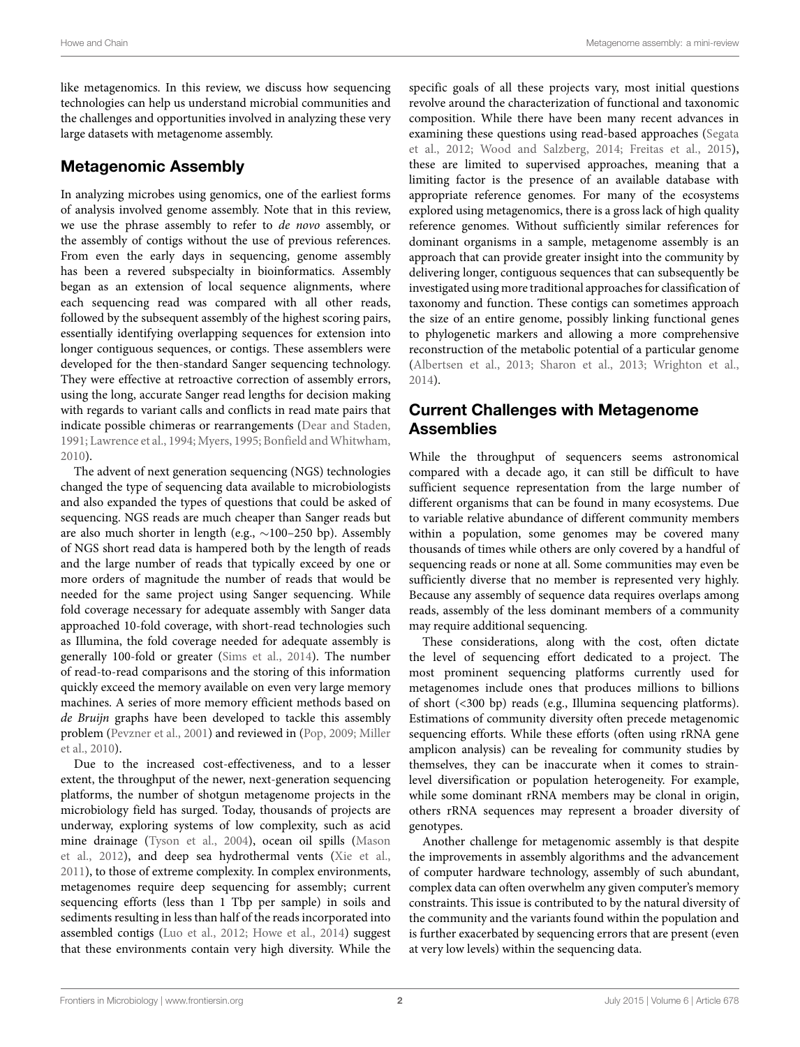like metagenomics. In this review, we discuss how sequencing technologies can help us understand microbial communities and the challenges and opportunities involved in analyzing these very large datasets with metagenome assembly.

# **Metagenomic Assembly**

In analyzing microbes using genomics, one of the earliest forms of analysis involved genome assembly. Note that in this review, we use the phrase assembly to refer to *de novo* assembly, or the assembly of contigs without the use of previous references. From even the early days in sequencing, genome assembly has been a revered subspecialty in bioinformatics. Assembly began as an extension of local sequence alignments, where each sequencing read was compared with all other reads, followed by the subsequent assembly of the highest scoring pairs, essentially identifying overlapping sequences for extension into longer contiguous sequences, or contigs. These assemblers were developed for the then-standard Sanger sequencing technology. They were effective at retroactive correction of assembly errors, using the long, accurate Sanger read lengths for decision making with regards to variant calls and conflicts in read mate pairs that indicate possible chimeras or rearrangements([Dear and Staden,](#page-2-0) [1991](#page-2-0); [Lawrence et al.,](#page-3-0) [1994;](#page-3-0) [Myers,](#page-3-1) [1995](#page-3-1); Bonfield and Whitwham, [2010](#page-2-1)).

The advent of next generation sequencing (NGS) technologies changed the type of sequencing data available to microbiologists and also expanded the types of questions that could be asked of sequencing. NGS reads are much cheaper than Sanger reads but are also much shorter in length (e.g., *∼*100–250 bp). Assembly of NGS short read data is hampered both by the length of reads and the large number of reads that typically exceed by one or more orders of magnitude the number of reads that would be needed for the same project using Sanger sequencing. While fold coverage necessary for adequate assembly with Sanger data approached 10-fold coverage, with short-read technologies such as Illumina, the fold coverage needed for adequate assembly is generally 100-fold or greater([Sims et al.,](#page-3-2) [2014](#page-3-2)). The number of read-to-read comparisons and the storing of this information quickly exceed the memory available on even very large memory machines. A series of more memory efficient methods based on *de Bruijn* graphs have been developed to tackle this assembly problem [\(Pevzner et al.](#page-3-3), [2001\)](#page-3-3) and reviewed in [\(Pop,](#page-3-4) [2009](#page-3-4); [Miller](#page-3-5) [et al.,](#page-3-5) [2010](#page-3-5)).

Due to the increased cost-effectiveness, and to a lesser extent, the throughput of the newer, next-generation sequencing platforms, the number of shotgun metagenome projects in the microbiology field has surged. Today, thousands of projects are underway, exploring systems of low complexity, such as acid mine drainage([Tyson et al.](#page-3-6), [2004\)](#page-3-6), ocean oil spills([Mason](#page-3-7) [et al.](#page-3-7), [2012\)](#page-3-7), and deep sea hydrothermal vents [\(Xie et al.,](#page-3-8) [2011](#page-3-8)), to those of extreme complexity. In complex environments, metagenomes require deep sequencing for assembly; current sequencing efforts (less than 1 Tbp per sample) in soils and sediments resulting in less than half of the reads incorporated into assembled contigs [\(Luo et al.,](#page-3-9) [2012](#page-3-9); [Howe et al.,](#page-3-10) [2014](#page-3-10)) suggest that these environments contain very high diversity. While the specific goals of all these projects vary, most initial questions revolve around the characterization of functional and taxonomic composition. While there have been many recent advances in examining these questions using read-based approaches [\(Segata](#page-3-11) [et al.](#page-3-11), [2012](#page-3-11); [Wood and Salzberg](#page-3-12), [2014;](#page-3-12) [Freitas et al.](#page-3-13), [2015\)](#page-3-13), these are limited to supervised approaches, meaning that a limiting factor is the presence of an available database with appropriate reference genomes. For many of the ecosystems explored using metagenomics, there is a gross lack of high quality reference genomes. Without sufficiently similar references for dominant organisms in a sample, metagenome assembly is an approach that can provide greater insight into the community by delivering longer, contiguous sequences that can subsequently be investigated using more traditional approaches for classification of taxonomy and function. These contigs can sometimes approach the size of an entire genome, possibly linking functional genes to phylogenetic markers and allowing a more comprehensive reconstruction of the metabolic potential of a particular genome ([Albertsen et al.](#page-2-2), [2013](#page-2-2); [Sharon et al.](#page-3-14), [2013](#page-3-14); [Wrighton et al.](#page-3-15), [2014\)](#page-3-15).

# **Current Challenges with Metagenome Assemblies**

While the throughput of sequencers seems astronomical compared with a decade ago, it can still be difficult to have sufficient sequence representation from the large number of different organisms that can be found in many ecosystems. Due to variable relative abundance of different community members within a population, some genomes may be covered many thousands of times while others are only covered by a handful of sequencing reads or none at all. Some communities may even be sufficiently diverse that no member is represented very highly. Because any assembly of sequence data requires overlaps among reads, assembly of the less dominant members of a community may require additional sequencing.

These considerations, along with the cost, often dictate the level of sequencing effort dedicated to a project. The most prominent sequencing platforms currently used for metagenomes include ones that produces millions to billions of short (<300 bp) reads (e.g., Illumina sequencing platforms). Estimations of community diversity often precede metagenomic sequencing efforts. While these efforts (often using rRNA gene amplicon analysis) can be revealing for community studies by themselves, they can be inaccurate when it comes to strainlevel diversification or population heterogeneity. For example, while some dominant rRNA members may be clonal in origin, others rRNA sequences may represent a broader diversity of genotypes.

Another challenge for metagenomic assembly is that despite the improvements in assembly algorithms and the advancement of computer hardware technology, assembly of such abundant, complex data can often overwhelm any given computer's memory constraints. This issue is contributed to by the natural diversity of the community and the variants found within the population and is further exacerbated by sequencing errors that are present (even at very low levels) within the sequencing data.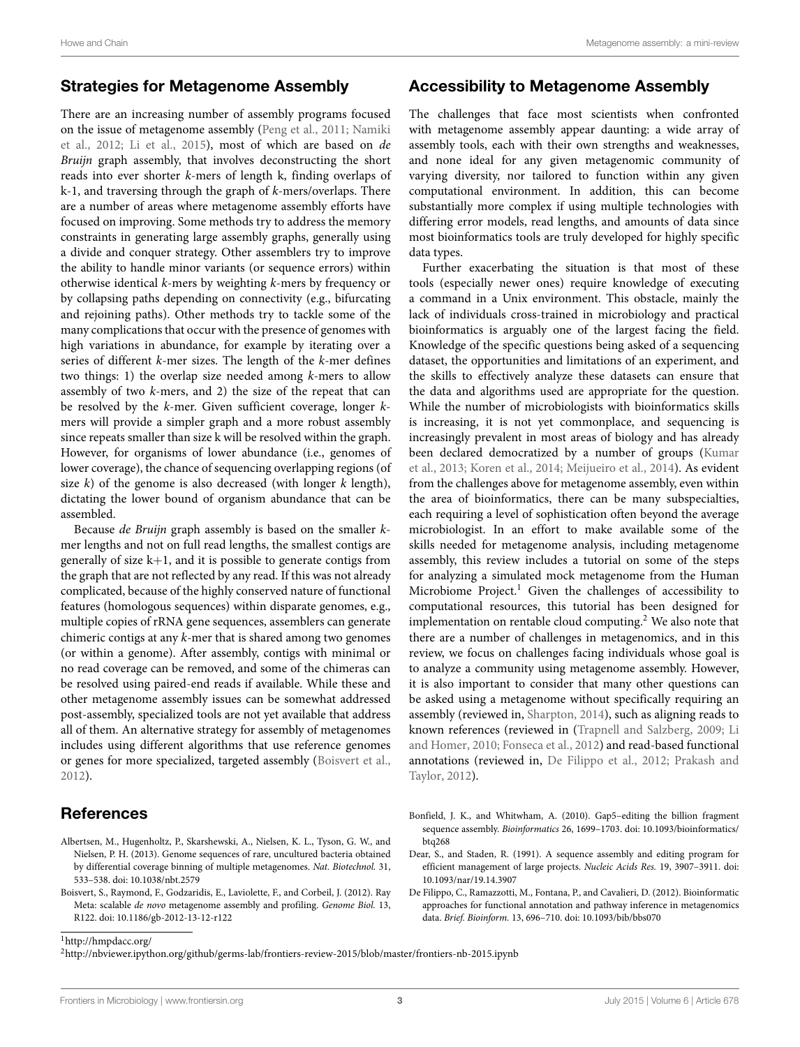## **Strategies for Metagenome Assembly**

There are an increasing number of assembly programs focused on the issue of metagenome assembly [\(Peng et al.,](#page-3-16) [2011;](#page-3-16) [Namiki](#page-3-17) [et al.](#page-3-17), [2012;](#page-3-17) [Li et al.,](#page-3-18) [2015](#page-3-18)), most of which are based on *de Bruijn* graph assembly, that involves deconstructing the short reads into ever shorter *k*-mers of length k, finding overlaps of k-1, and traversing through the graph of *k*-mers/overlaps. There are a number of areas where metagenome assembly efforts have focused on improving. Some methods try to address the memory constraints in generating large assembly graphs, generally using a divide and conquer strategy. Other assemblers try to improve the ability to handle minor variants (or sequence errors) within otherwise identical *k*-mers by weighting *k*-mers by frequency or by collapsing paths depending on connectivity (e.g., bifurcating and rejoining paths). Other methods try to tackle some of the many complications that occur with the presence of genomes with high variations in abundance, for example by iterating over a series of different *k*-mer sizes. The length of the *k*-mer defines two things: 1) the overlap size needed among *k*-mers to allow assembly of two *k*-mers, and 2) the size of the repeat that can be resolved by the *k*-mer. Given sufficient coverage, longer *k*mers will provide a simpler graph and a more robust assembly since repeats smaller than size k will be resolved within the graph. However, for organisms of lower abundance (i.e., genomes of lower coverage), the chance of sequencing overlapping regions (of size *k*) of the genome is also decreased (with longer *k* length), dictating the lower bound of organism abundance that can be assembled.

Because *de Bruijn* graph assembly is based on the smaller *k*mer lengths and not on full read lengths, the smallest contigs are generally of size  $k+1$ , and it is possible to generate contigs from the graph that are not reflected by any read. If this was not already complicated, because of the highly conserved nature of functional features (homologous sequences) within disparate genomes, e.g., multiple copies of rRNA gene sequences, assemblers can generate chimeric contigs at any *k*-mer that is shared among two genomes (or within a genome). After assembly, contigs with minimal or no read coverage can be removed, and some of the chimeras can be resolved using paired-end reads if available. While these and other metagenome assembly issues can be somewhat addressed post-assembly, specialized tools are not yet available that address all of them. An alternative strategy for assembly of metagenomes includes using different algorithms that use reference genomes or genes for more specialized, targeted assembly [\(Boisvert et al.,](#page-2-3) [2012](#page-2-3)).

# **References**

- <span id="page-2-2"></span>Albertsen, M., Hugenholtz, P., Skarshewski, A., Nielsen, K. L., Tyson, G. W., and Nielsen, P. H. (2013). Genome sequences of rare, uncultured bacteria obtained by differential coverage binning of multiple metagenomes. *Nat. Biotechnol.* 31, 533–538. doi: 10.1038/nbt.2579
- <span id="page-2-3"></span>Boisvert, S., Raymond, F., Godzaridis, E., Laviolette, F., and Corbeil, J. (2012). Ray Meta: scalable *de novo* metagenome assembly and profiling. *Genome Biol.* 13, R122. doi: 10.1186/gb-2012-13-12-r122

# **Accessibility to Metagenome Assembly**

The challenges that face most scientists when confronted with metagenome assembly appear daunting: a wide array of assembly tools, each with their own strengths and weaknesses, and none ideal for any given metagenomic community of varying diversity, nor tailored to function within any given computational environment. In addition, this can become substantially more complex if using multiple technologies with differing error models, read lengths, and amounts of data since most bioinformatics tools are truly developed for highly specific data types.

Further exacerbating the situation is that most of these tools (especially newer ones) require knowledge of executing a command in a Unix environment. This obstacle, mainly the lack of individuals cross-trained in microbiology and practical bioinformatics is arguably one of the largest facing the field. Knowledge of the specific questions being asked of a sequencing dataset, the opportunities and limitations of an experiment, and the skills to effectively analyze these datasets can ensure that the data and algorithms used are appropriate for the question. While the number of microbiologists with bioinformatics skills is increasing, it is not yet commonplace, and sequencing is increasingly prevalent in most areas of biology and has already been declared democratized by a number of groups([Kumar](#page-3-19) [et al.,](#page-3-19) [2013](#page-3-19); [Koren et al.](#page-3-20), [2014;](#page-3-20) [Meijueiro et al.](#page-3-21), [2014\)](#page-3-21). As evident from the challenges above for metagenome assembly, even within the area of bioinformatics, there can be many subspecialties, each requiring a level of sophistication often beyond the average microbiologist. In an effort to make available some of the skills needed for metagenome analysis, including metagenome assembly, this review includes a tutorial on some of the steps for analyzing a simulated mock metagenome from the Human Microbiome Project.<sup>[1](#page-2-4)</sup> Given the challenges of accessibility to computational resources, this tutorial has been designed for implementation on rentable cloud computing. $2$  We also note that there are a number of challenges in metagenomics, and in this review, we focus on challenges facing individuals whose goal is to analyze a community using metagenome assembly. However, it is also important to consider that many other questions can be asked using a metagenome without specifically requiring an assembly (reviewed in, [Sharpton](#page-3-22), [2014\)](#page-3-22), such as aligning reads to known references (reviewed in([Trapnell and Salzberg,](#page-3-23) [2009](#page-3-23); [Li](#page-3-24) [and Homer,](#page-3-24) [2010;](#page-3-24) [Fonseca et al.,](#page-3-25) [2012](#page-3-25)) and read-based functional annotations (reviewed in, [De Filippo et al.](#page-2-6), [2012](#page-2-6); [Prakash and](#page-3-26) [Taylor](#page-3-26), [2012\)](#page-3-26).

- <span id="page-2-1"></span>Bonfield, J. K., and Whitwham, A. (2010). Gap5–editing the billion fragment sequence assembly. *Bioinformatics* 26, 1699–1703. doi: 10.1093/bioinformatics/ btq268
- <span id="page-2-0"></span>Dear, S., and Staden, R. (1991). A sequence assembly and editing program for efficient management of large projects. *Nucleic Acids Res.* 19, 3907–3911. doi: 10.1093/nar/19.14.3907
- <span id="page-2-6"></span>De Filippo, C., Ramazzotti, M., Fontana, P., and Cavalieri, D. (2012). Bioinformatic approaches for functional annotation and pathway inference in metagenomics data. *Brief. Bioinform.* 13, 696–710. doi: 10.1093/bib/bbs070

<span id="page-2-4"></span><sup>1</sup><http://hmpdacc.org/>

<span id="page-2-5"></span><sup>2</sup><http://nbviewer.ipython.org/github/germs-lab/frontiers-review-2015/blob/master/frontiers-nb-2015.ipynb>